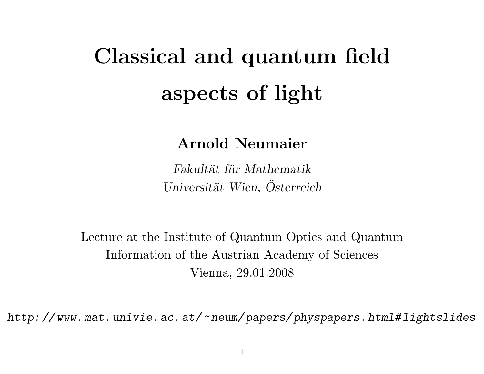# Classical and quantum field aspects of light

### Arnold Neumaier

Fakultät für Mathematik Universität Wien, Osterreich

Lecture at the Institute of Quantum Optics and Quantum Information of the Austrian Academy of Sciences Vienna, 29.01.2008

http: // www. mat. univie. ac. at/~neum/ papers/ physpapers. html# lightslides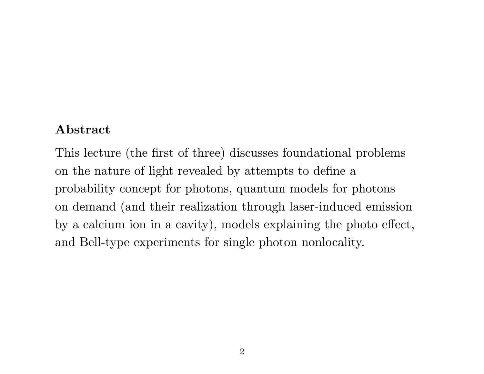#### Abstract

This lecture (the first of three) discusses foundational problems on the nature of light revealed by attempts to define a probability concept for photons, quantum models for photons on demand (and their realization through laser-induced emission by a calcium ion in a cavity), models explaining the photo effect, and Bell-type experiments for single photon nonlocality.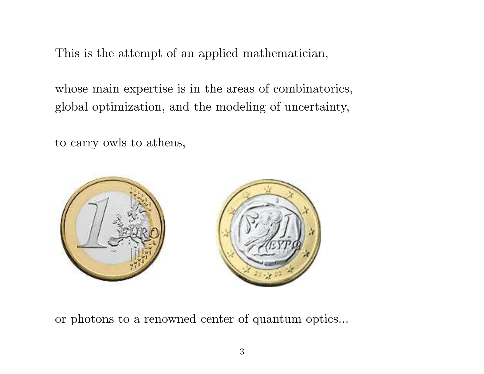This is the attempt of an applied mathematician,

whose main expertise is in the areas of combinatorics, global optimization, and the modeling of uncertainty,

to carry owls to athens,



or photons to a renowned center of quantum optics...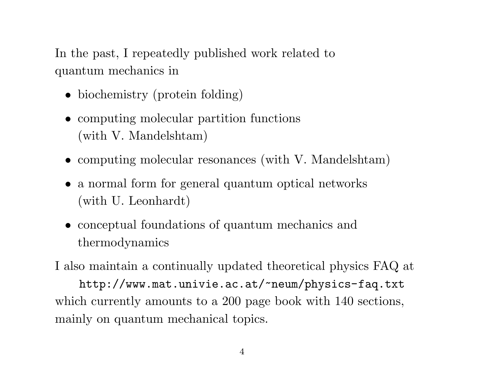In the past, I repeatedly published work related to quantum mechanics in

- biochemistry (protein folding)
- computing molecular partition functions (with V. Mandelshtam)
- computing molecular resonances (with V. Mandelshtam)
- a normal form for general quantum optical networks (with U. Leonhardt)
- conceptual foundations of quantum mechanics and thermodynamics

I also maintain a continually updated theoretical physics FAQ at http://www.mat.univie.ac.at/~neum/physics-faq.txt which currently amounts to a 200 page book with 140 sections, mainly on quantum mechanical topics.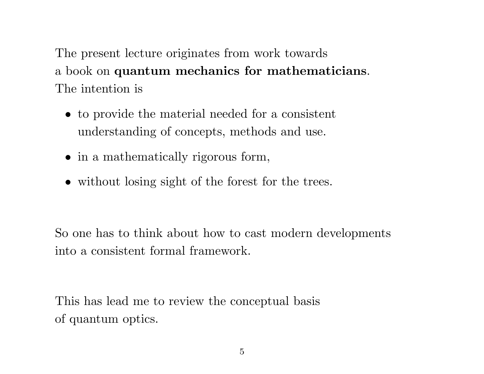The present lecture originates from work towards a book on quantum mechanics for mathematicians. The intention is

- to provide the material needed for a consistent understanding of concepts, methods and use.
- in a mathematically rigorous form,
- without losing sight of the forest for the trees.

So one has to think about how to cast modern developments into a consistent formal framework.

This has lead me to review the conceptual basis of quantum optics.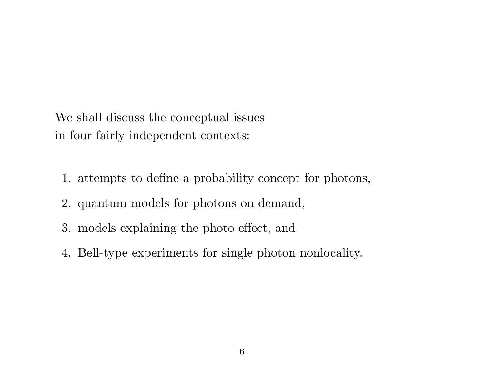We shall discuss the conceptual issues in four fairly independent contexts:

- 1. attempts to define a probability concept for photons,
- 2. quantum models for photons on demand,
- 3. models explaining the photo effect, and
- 4. Bell-type experiments for single photon nonlocality.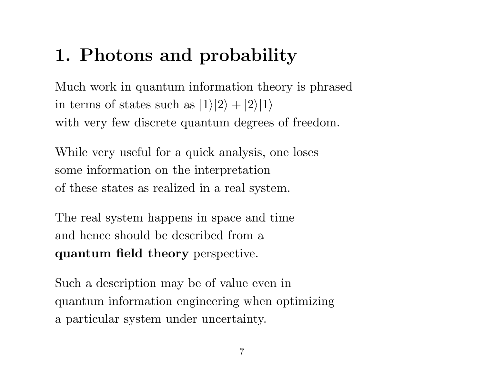# 1. Photons and probability

Much work in quantum information theory is phrased in terms of states such as  $|1\rangle|2\rangle + |2\rangle|1\rangle$ with very few discrete quantum degrees of freedom.

While very useful for a quick analysis, one loses some information on the interpretation of these states as realized in a real system.

The real system happens in space and time and hence should be described from a quantum field theory perspective.

Such a description may be of value even in quantum information engineering when optimizing a particular system under uncertainty.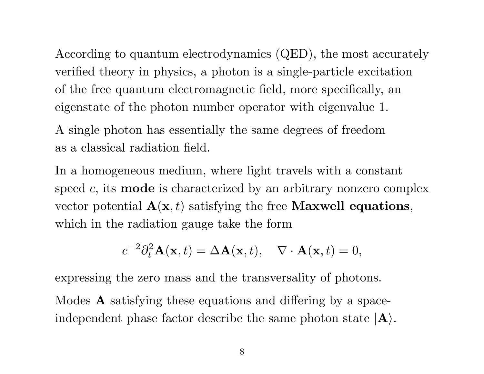According to quantum electrodynamics (QED), the most accurately verified theory in physics, a photon is a single-particle excitation of the free quantum electromagnetic field, more specifically, an eigenstate of the photon number operator with eigenvalue 1.

A single photon has essentially the same degrees of freedom as a classical radiation field.

In a homogeneous medium, where light travels with a constant speed  $c$ , its **mode** is characterized by an arbitrary nonzero complex vector potential  $\mathbf{A}(\mathbf{x},t)$  satisfying the free **Maxwell equations**, which in the radiation gauge take the form

$$
c^{-2}\partial_t^2 \mathbf{A}(\mathbf{x},t) = \Delta \mathbf{A}(\mathbf{x},t), \quad \nabla \cdot \mathbf{A}(\mathbf{x},t) = 0,
$$

expressing the zero mass and the transversality of photons. Modes A satisfying these equations and differing by a spaceindependent phase factor describe the same photon state  $|A\rangle$ .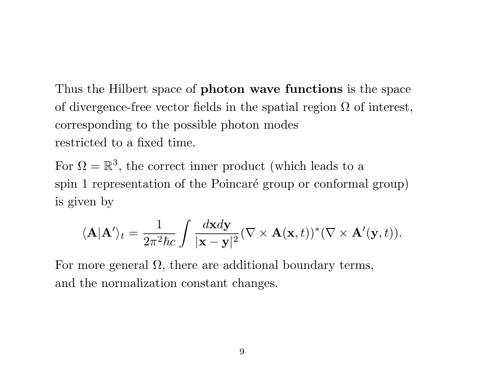Thus the Hilbert space of photon wave functions is the space of divergence-free vector fields in the spatial region  $\Omega$  of interest, corresponding to the possible photon modes restricted to a fixed time.

For  $\Omega = \mathbb{R}^3$ , the correct inner product (which leads to a spin 1 representation of the Poincaré group or conformal group) is given by

$$
\langle \mathbf{A} | \mathbf{A}' \rangle_t = \frac{1}{2\pi^2 \hbar c} \int \frac{d\mathbf{x} d\mathbf{y}}{|\mathbf{x} - \mathbf{y}|^2} (\nabla \times \mathbf{A}(\mathbf{x}, t))^* (\nabla \times \mathbf{A}'(\mathbf{y}, t)).
$$

For more general  $\Omega$ , there are additional boundary terms, and the normalization constant changes.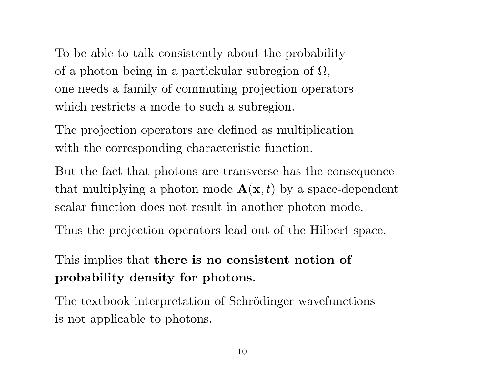To be able to talk consistently about the probability of a photon being in a partickular subregion of  $\Omega$ , one needs a family of commuting projection operators which restricts a mode to such a subregion.

The projection operators are defined as multiplication with the corresponding characteristic function.

But the fact that photons are transverse has the consequence that multiplying a photon mode  $\mathbf{A}(\mathbf{x},t)$  by a space-dependent scalar function does not result in another photon mode.

Thus the projection operators lead out of the Hilbert space.

### This implies that there is no consistent notion of probability density for photons.

The textbook interpretation of Schrödinger wavefunctions is not applicable to photons.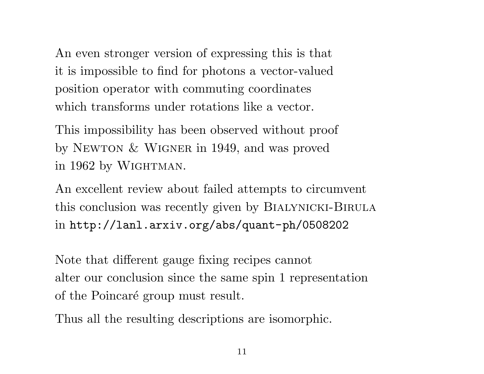An even stronger version of expressing this is that it is impossible to find for photons a vector-valued position operator with commuting coordinates which transforms under rotations like a vector.

This impossibility has been observed without proof by NEWTON  $&$  WIGNER in 1949, and was proved in 1962 by WIGHTMAN.

An excellent review about failed attempts to circumvent this conclusion was recently given by BIALYNICKI-BIRULA in http://lanl.arxiv.org/abs/quant-ph/0508202

Note that different gauge fixing recipes cannot alter our conclusion since the same spin 1 representation of the Poincaré group must result.

Thus all the resulting descriptions are isomorphic.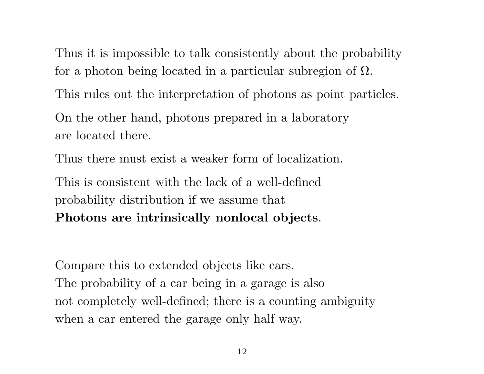Thus it is impossible to talk consistently about the probability for a photon being located in a particular subregion of  $\Omega$ .

This rules out the interpretation of photons as point particles.

On the other hand, photons prepared in a laboratory are located there.

Thus there must exist a weaker form of localization.

This is consistent with the lack of a well-defined probability distribution if we assume that Photons are intrinsically nonlocal objects.

Compare this to extended objects like cars. The probability of a car being in a garage is also not completely well-defined; there is a counting ambiguity when a car entered the garage only half way.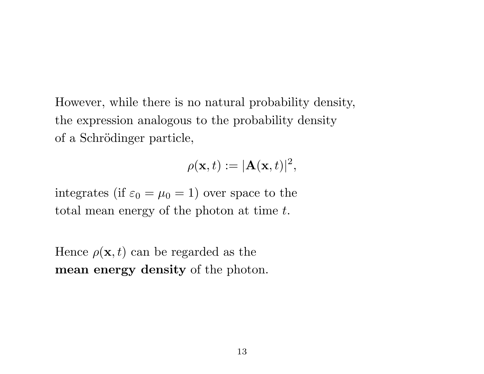However, while there is no natural probability density, the expression analogous to the probability density of a Schrödinger particle,

$$
\rho(\mathbf{x},t):=|\mathbf{A}(\mathbf{x},t)|^2,
$$

integrates (if  $\varepsilon_0 = \mu_0 = 1$ ) over space to the total mean energy of the photon at time t.

Hence  $\rho(\mathbf{x}, t)$  can be regarded as the mean energy density of the photon.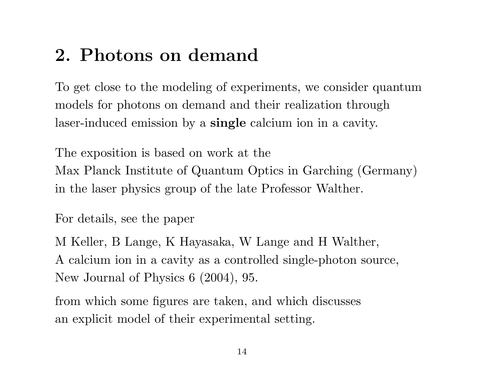# 2. Photons on demand

To get close to the modeling of experiments, we consider quantum models for photons on demand and their realization through laser-induced emission by a single calcium ion in a cavity.

The exposition is based on work at the Max Planck Institute of Quantum Optics in Garching (Germany) in the laser physics group of the late Professor Walther.

For details, see the paper

M Keller, B Lange, K Hayasaka, W Lange and H Walther, A calcium ion in a cavity as a controlled single-photon source, New Journal of Physics 6 (2004), 95.

from which some figures are taken, and which discusses an explicit model of their experimental setting.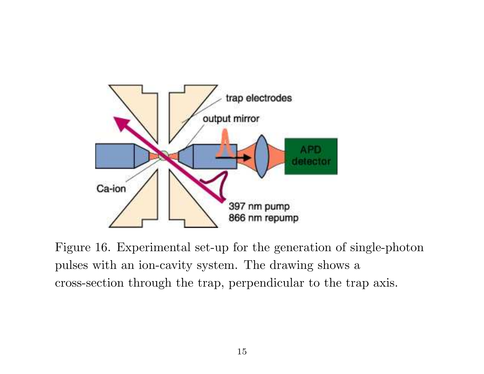

Figure 16. Experimental set-up for the generation of single-photon pulses with an ion-cavity system. The drawing shows a cross-section through the trap, perpendicular to the trap axis.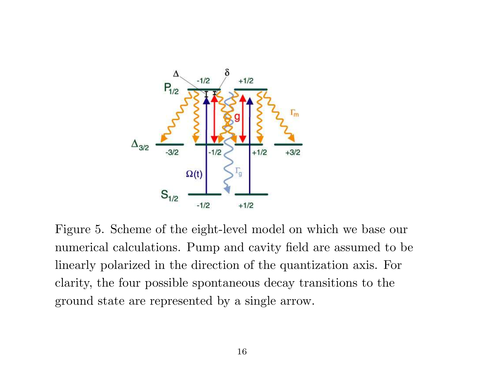

Figure 5. Scheme of the eight-level model on which we base our numerical calculations. Pump and cavity field are assumed to be linearly polarized in the direction of the quantization axis. For clarity, the four possible spontaneous decay transitions to the ground state are represented by a single arrow.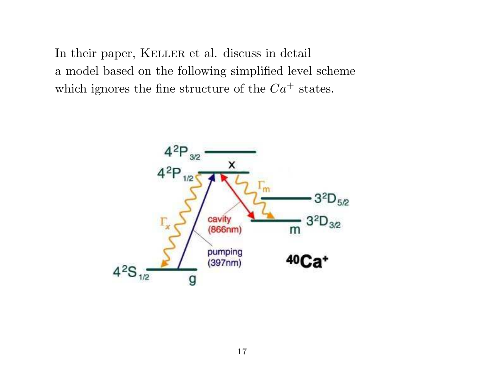In their paper, KELLER et al. discuss in detail a model based on the following simplified level scheme which ignores the fine structure of the  $Ca^+$  states.

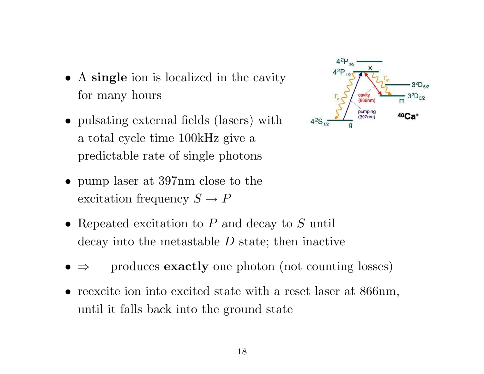- A single ion is localized in the cavity for many hours
- pulsating external fields (lasers) with a total cycle time 100kHz give a predictable rate of single photons
- pump laser at 397nm close to the excitation frequency  $S \to P$
- Repeated excitation to  $P$  and decay to  $S$  until decay into the metastable D state; then inactive
- produces **exactly** one photon (not counting losses)
- reexcite ion into excited state with a reset laser at 866nm, until it falls back into the ground state

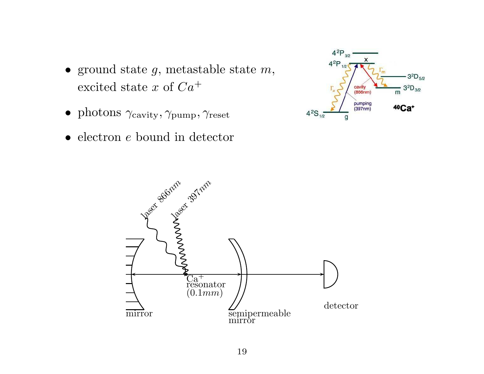- ground state  $g$ , metastable state  $m$ , excited state x of  $Ca^+$
- photons  $\gamma_{\text{cavity}}, \gamma_{\text{pump}}, \gamma_{\text{reset}}$
- electron *e* bound in detector



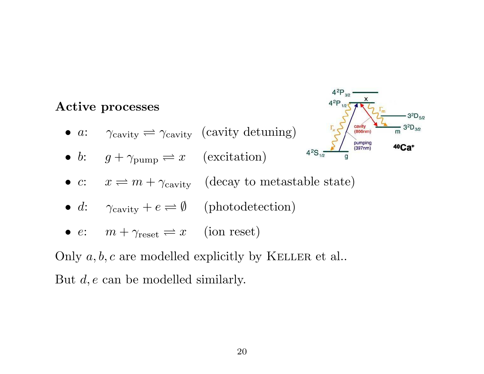### $4^{2}P_{1/2}$ Active processes • a:  $\gamma_{\text{cavity}} \rightleftharpoons \gamma_{\text{cavity}}$  (cavity detuning) cavity<br>(866nm) pumping  $(397nm)$ • b:  $g + \gamma_{\text{pump}} \rightleftharpoons x$  (excitation) •  $c: x \rightleftharpoons m + \gamma_{\text{cavity}}$  (decay to metastable state) • d:  $\gamma_{\text{cavity}} + e \rightleftharpoons \emptyset$  (photodetection) •  $e: m + \gamma_{\text{reset}} \rightleftharpoons x$  (ion reset)

 $4^{2}P_{3/2}$ 

 $-3^{2}D_{5/2}$ 

 $3^{2}D_{3/2}$ 

m

40Ca<sup>+</sup>

Only  $a, b, c$  are modelled explicitly by KELLER et al.. But d, e can be modelled similarly.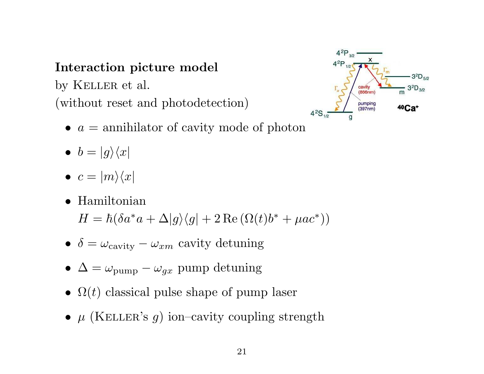#### Interaction picture model

by KELLER et al. (without reset and photodetection)



- $a =$  annihilator of cavity mode of photon
- $b = |g\rangle\langle x|$
- $c = |m\rangle\langle x|$
- Hamiltonian  $H = \hbar (\delta a^* a + \Delta |g\rangle\langle g| + 2 \operatorname{Re}(\Omega(t) b^* + \mu a c^*))$
- $\delta = \omega_{\text{cavity}} \omega_{xm}$  cavity detuning
- $\Delta = \omega_{\text{pump}} \omega_{ax}$  pump detuning
- $\Omega(t)$  classical pulse shape of pump laser
- $\mu$  (KELLER's g) ion–cavity coupling strength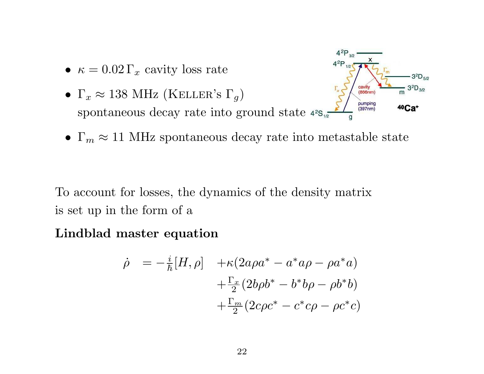- $\kappa = 0.02 \Gamma_x$  cavity loss rate
- cavity •  $\Gamma_x \approx 138 \text{ MHz (KELLER's } \Gamma_q)$  $(866nm)$ pumping spontaneous decay rate into ground state  $42s_{1/2}$  $(397nm)$



 $4^{2}P_{3/2}$ 

 $3^{2}D_{5/2}$ 

 $3^{2}D_{3/2}$ 

m

40Ca<sup>+</sup>

To account for losses, the dynamics of the density matrix is set up in the form of a

Lindblad master equation

$$
\dot{\rho} = -\frac{i}{\hbar} [H, \rho] + \kappa (2a\rho a^* - a^* a\rho - \rho a^* a) \n+ \frac{\Gamma_x}{2} (2b\rho b^* - b^* b\rho - \rho b^* b) \n+ \frac{\Gamma_m}{2} (2c\rho c^* - c^* c\rho - \rho c^* c)
$$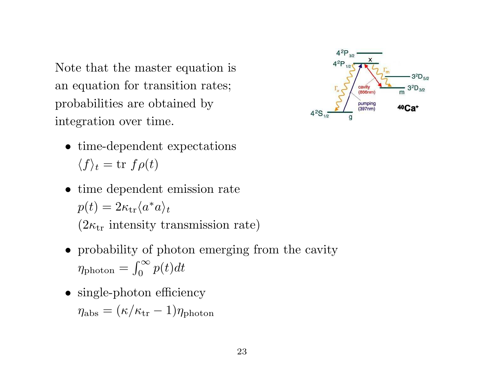Note that the master equation is an equation for transition rates; probabilities are obtained by integration over time.

 $4^{2}P_{3/2}$  $4^{2}P_{1/2}$  $3^{2}D_{5/2}$  $3^{2}D_{3/2}$ cavity  $(866nm)$ m pumping 40Ca+  $(397nm)$ 

- time-dependent expectations  $\langle f \rangle_t = \text{tr } f \rho(t)$
- time dependent emission rate  $p(t) = 2\kappa_{\rm tr}\langle a^* a\rangle_t$  $(2\kappa_{\rm tr}$  intensity transmission rate)
- probability of photon emerging from the cavity  $\eta_{\text{photon}} = \int_0^\infty$  $\int_0^\infty p(t)dt$
- single-photon efficiency  $\eta_{\rm abs} = (\kappa/\kappa_{\rm tr} - 1)\eta_{\rm photon}$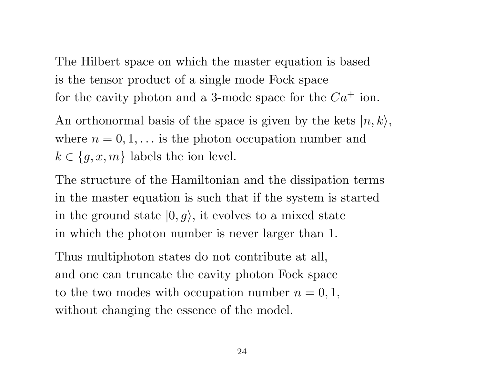The Hilbert space on which the master equation is based is the tensor product of a single mode Fock space for the cavity photon and a 3-mode space for the  $Ca^+$  ion.

An orthonormal basis of the space is given by the kets  $|n, k\rangle$ , where  $n = 0, 1, \ldots$  is the photon occupation number and  $k \in \{g, x, m\}$  labels the ion level.

The structure of the Hamiltonian and the dissipation terms in the master equation is such that if the system is started in the ground state  $|0, g\rangle$ , it evolves to a mixed state in which the photon number is never larger than 1.

Thus multiphoton states do not contribute at all, and one can truncate the cavity photon Fock space to the two modes with occupation number  $n = 0, 1$ , without changing the essence of the model.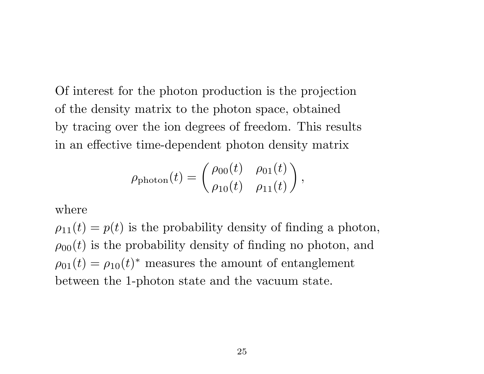Of interest for the photon production is the projection of the density matrix to the photon space, obtained by tracing over the ion degrees of freedom. This results in an effective time-dependent photon density matrix

$$
\rho_{\text{photon}}(t) = \begin{pmatrix} \rho_{00}(t) & \rho_{01}(t) \\ \rho_{10}(t) & \rho_{11}(t) \end{pmatrix},
$$

where

 $\rho_{11}(t) = p(t)$  is the probability density of finding a photon,  $\rho_{00}(t)$  is the probability density of finding no photon, and  $\rho_{01}(t) = \rho_{10}(t)^*$  measures the amount of entanglement between the 1-photon state and the vacuum state.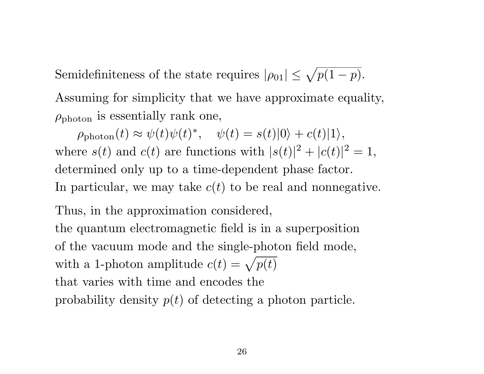Semidefiniteness of the state requires  $|\rho_{01}| \leq \sqrt{p(1-p)}$ . Assuming for simplicity that we have approximate equality,  $\rho_{\text{photon}}$  is essentially rank one,

 $\rho_{\rm photon}(t) \approx \psi(t)\psi(t)^*, \quad \psi(t) = s(t)|0\rangle + c(t)|1\rangle,$ where  $s(t)$  and  $c(t)$  are functions with  $|s(t)|^2 + |c(t)|^2 = 1$ , determined only up to a time-dependent phase factor. In particular, we may take  $c(t)$  to be real and nonnegative.

Thus, in the approximation considered,

the quantum electromagnetic field is in a superposition of the vacuum mode and the single-photon field mode, with a 1-photon amplitude  $c(t) = \sqrt{p(t)}$ that varies with time and encodes the probability density  $p(t)$  of detecting a photon particle.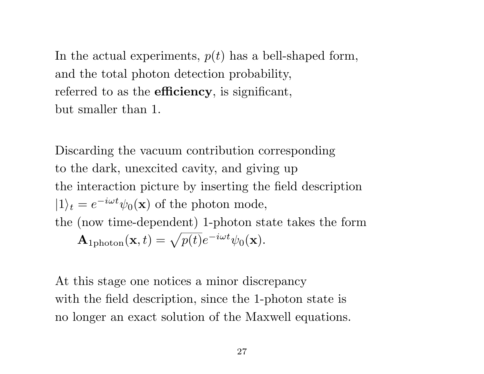In the actual experiments,  $p(t)$  has a bell-shaped form, and the total photon detection probability, referred to as the **efficiency**, is significant, but smaller than 1.

Discarding the vacuum contribution corresponding to the dark, unexcited cavity, and giving up the interaction picture by inserting the field description  $|1\rangle_t = e^{-i\omega t}\psi_0(\mathbf{x})$  of the photon mode, the (now time-dependent) 1-photon state takes the form  $\mathbf{A}_{\rm 1photon}(\mathbf{x},t)=\sqrt{p(t)}e^{-i\omega t}\psi_0(\mathbf{x}).$ 

At this stage one notices a minor discrepancy with the field description, since the 1-photon state is no longer an exact solution of the Maxwell equations.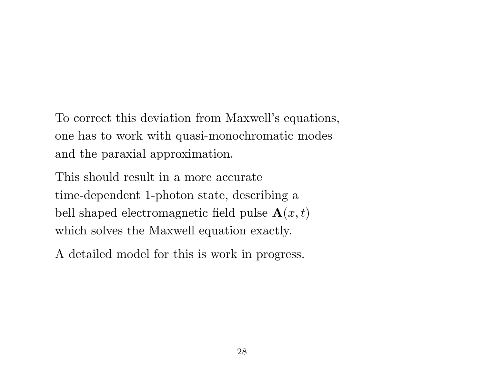To correct this deviation from Maxwell's equations, one has to work with quasi-monochromatic modes and the paraxial approximation.

This should result in a more accurate time-dependent 1-photon state, describing a bell shaped electromagnetic field pulse  $\mathbf{A}(x,t)$ which solves the Maxwell equation exactly.

A detailed model for this is work in progress.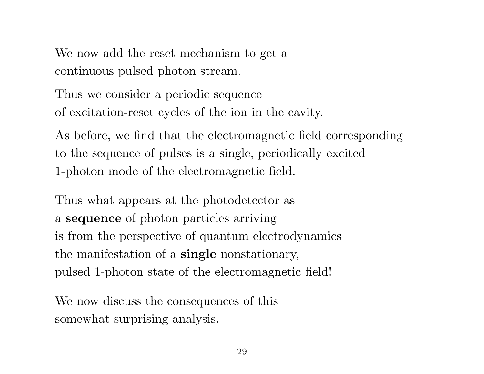We now add the reset mechanism to get a continuous pulsed photon stream.

Thus we consider a periodic sequence of excitation-reset cycles of the ion in the cavity.

As before, we find that the electromagnetic field corresponding to the sequence of pulses is a single, periodically excited 1-photon mode of the electromagnetic field.

Thus what appears at the photodetector as a sequence of photon particles arriving is from the perspective of quantum electrodynamics the manifestation of a single nonstationary, pulsed 1-photon state of the electromagnetic field!

We now discuss the consequences of this somewhat surprising analysis.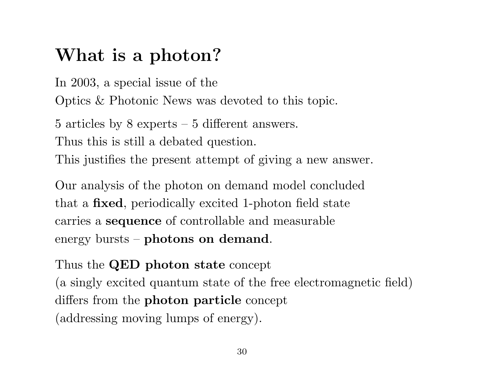### What is a photon?

In 2003, a special issue of the Optics & Photonic News was devoted to this topic.

5 articles by 8 experts – 5 different answers. Thus this is still a debated question. This justifies the present attempt of giving a new answer.

Our analysis of the photon on demand model concluded that a fixed, periodically excited 1-photon field state carries a sequence of controllable and measurable energy bursts – photons on demand.

Thus the QED photon state concept (a singly excited quantum state of the free electromagnetic field) differs from the photon particle concept (addressing moving lumps of energy).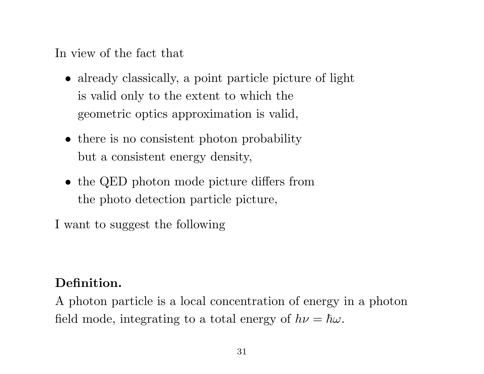In view of the fact that

- already classically, a point particle picture of light is valid only to the extent to which the geometric optics approximation is valid,
- there is no consistent photon probability but a consistent energy density,
- the QED photon mode picture differs from the photo detection particle picture,

I want to suggest the following

#### Definition.

A photon particle is a local concentration of energy in a photon field mode, integrating to a total energy of  $h\nu = \hbar\omega$ .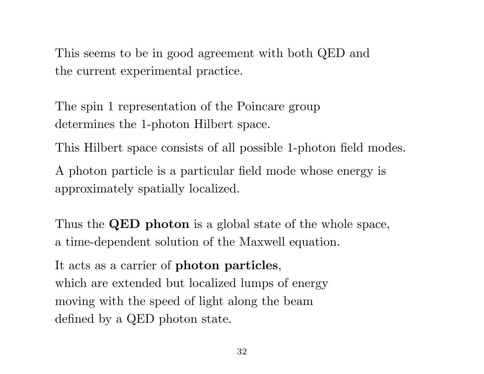This seems to be in good agreement with both QED and the current experimental practice.

The spin 1 representation of the Poincare group determines the 1-photon Hilbert space.

This Hilbert space consists of all possible 1-photon field modes.

A photon particle is a particular field mode whose energy is approximately spatially localized.

Thus the **QED** photon is a global state of the whole space, a time-dependent solution of the Maxwell equation.

It acts as a carrier of photon particles, which are extended but localized lumps of energy moving with the speed of light along the beam defined by a QED photon state.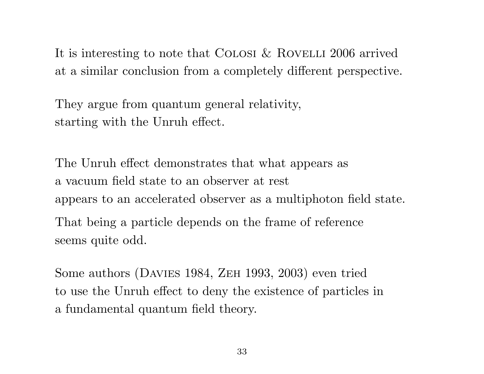It is interesting to note that COLOSI  $&$  ROVELLI 2006 arrived at a similar conclusion from a completely different perspective.

They argue from quantum general relativity, starting with the Unruh effect.

The Unruh effect demonstrates that what appears as a vacuum field state to an observer at rest appears to an accelerated observer as a multiphoton field state. That being a particle depends on the frame of reference seems quite odd.

Some authors (DAVIES 1984, ZEH 1993, 2003) even tried to use the Unruh effect to deny the existence of particles in a fundamental quantum field theory.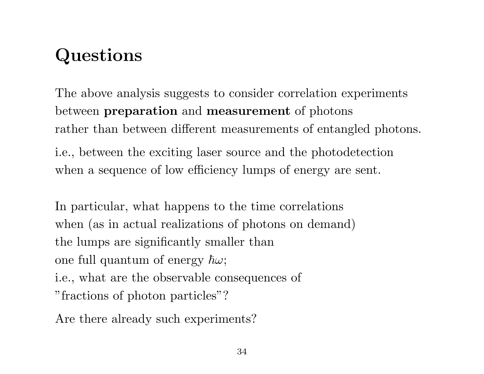# Questions

The above analysis suggests to consider correlation experiments between preparation and measurement of photons rather than between different measurements of entangled photons.

i.e., between the exciting laser source and the photodetection when a sequence of low efficiency lumps of energy are sent.

In particular, what happens to the time correlations when (as in actual realizations of photons on demand) the lumps are significantly smaller than one full quantum of energy  $\hbar\omega$ ; i.e., what are the observable consequences of "fractions of photon particles"?

Are there already such experiments?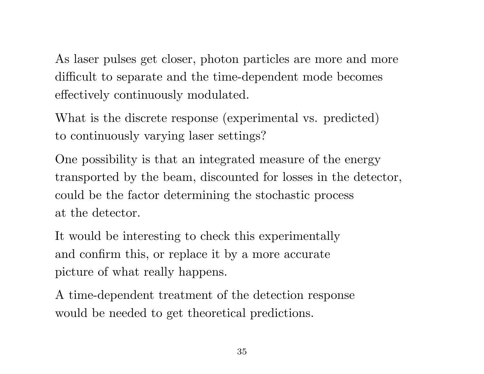As laser pulses get closer, photon particles are more and more difficult to separate and the time-dependent mode becomes effectively continuously modulated.

What is the discrete response (experimental vs. predicted) to continuously varying laser settings?

One possibility is that an integrated measure of the energy transported by the beam, discounted for losses in the detector, could be the factor determining the stochastic process at the detector.

It would be interesting to check this experimentally and confirm this, or replace it by a more accurate picture of what really happens.

A time-dependent treatment of the detection response would be needed to get theoretical predictions.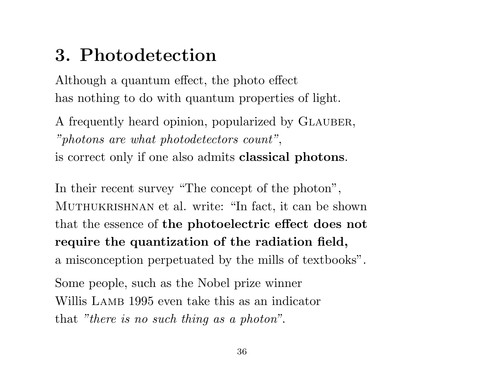### 3. Photodetection

Although a quantum effect, the photo effect has nothing to do with quantum properties of light.

A frequently heard opinion, popularized by GLAUBER, "photons are what photodetectors count", is correct only if one also admits classical photons.

In their recent survey "The concept of the photon", Muthukrishnan et al. write: "In fact, it can be shown that the essence of the photoelectric effect does not require the quantization of the radiation field, a misconception perpetuated by the mills of textbooks".

Some people, such as the Nobel prize winner Willis LAMB 1995 even take this as an indicator that "there is no such thing as a photon".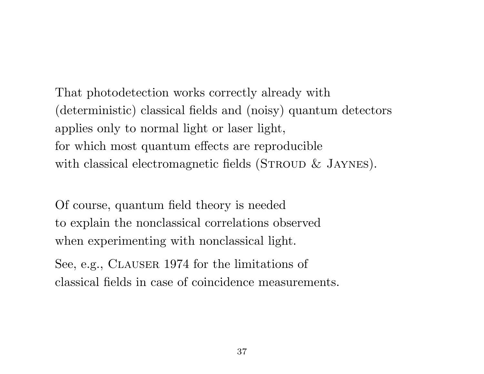That photodetection works correctly already with (deterministic) classical fields and (noisy) quantum detectors applies only to normal light or laser light, for which most quantum effects are reproducible with classical electromagnetic fields (STROUD  $&$  JAYNES).

Of course, quantum field theory is needed to explain the nonclassical correlations observed when experimenting with nonclassical light.

See, e.g., CLAUSER 1974 for the limitations of classical fields in case of coincidence measurements.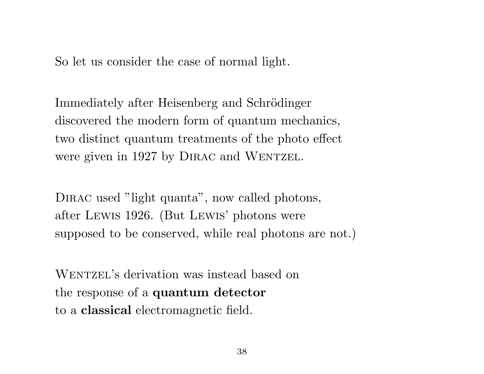So let us consider the case of normal light.

Immediately after Heisenberg and Schrödinger discovered the modern form of quantum mechanics, two distinct quantum treatments of the photo effect were given in 1927 by DIRAC and WENTZEL.

DIRAC used "light quanta", now called photons, after Lewis 1926. (But Lewis' photons were supposed to be conserved, while real photons are not.)

WENTZEL's derivation was instead based on the response of a quantum detector to a classical electromagnetic field.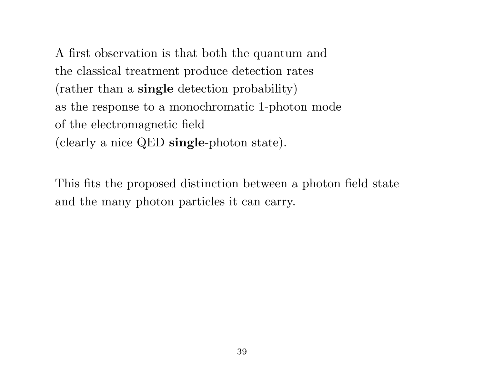A first observation is that both the quantum and the classical treatment produce detection rates (rather than a single detection probability) as the response to a monochromatic 1-photon mode of the electromagnetic field (clearly a nice QED single-photon state).

This fits the proposed distinction between a photon field state and the many photon particles it can carry.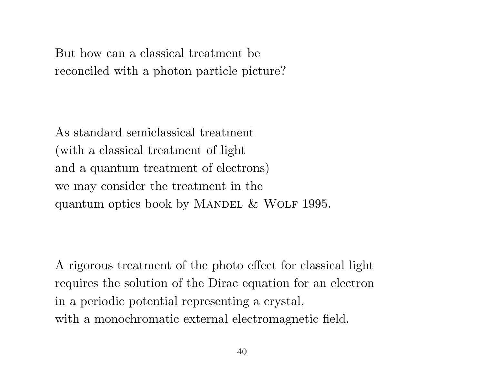But how can a classical treatment be reconciled with a photon particle picture?

As standard semiclassical treatment (with a classical treatment of light and a quantum treatment of electrons) we may consider the treatment in the quantum optics book by MANDEL  $&$  WOLF 1995.

A rigorous treatment of the photo effect for classical light requires the solution of the Dirac equation for an electron in a periodic potential representing a crystal, with a monochromatic external electromagnetic field.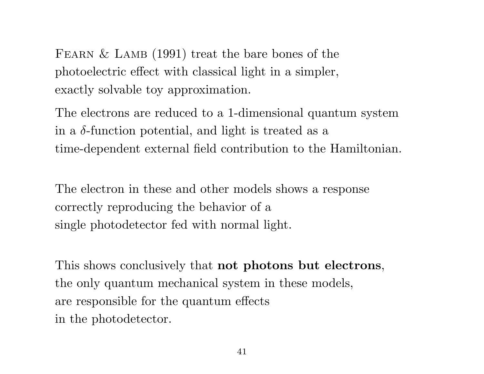FEARN  $&$  LAMB (1991) treat the bare bones of the photoelectric effect with classical light in a simpler, exactly solvable toy approximation.

The electrons are reduced to a 1-dimensional quantum system in a  $\delta$ -function potential, and light is treated as a time-dependent external field contribution to the Hamiltonian.

The electron in these and other models shows a response correctly reproducing the behavior of a single photodetector fed with normal light.

This shows conclusively that not photons but electrons, the only quantum mechanical system in these models, are responsible for the quantum effects in the photodetector.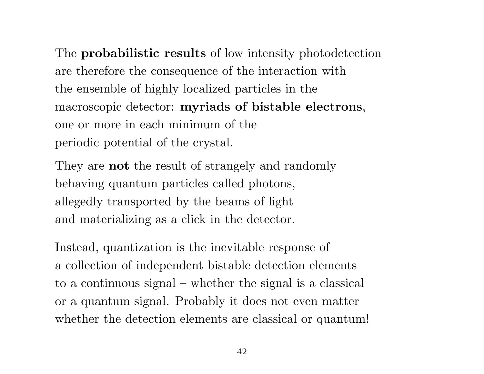The **probabilistic results** of low intensity photodetection are therefore the consequence of the interaction with the ensemble of highly localized particles in the macroscopic detector: myriads of bistable electrons, one or more in each minimum of the periodic potential of the crystal.

They are not the result of strangely and randomly behaving quantum particles called photons, allegedly transported by the beams of light and materializing as a click in the detector.

Instead, quantization is the inevitable response of a collection of independent bistable detection elements to a continuous signal – whether the signal is a classical or a quantum signal. Probably it does not even matter whether the detection elements are classical or quantum!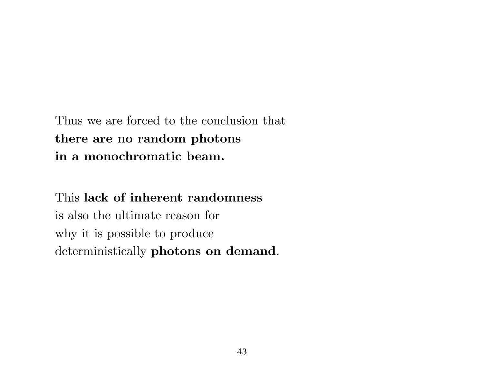Thus we are forced to the conclusion that there are no random photons in a monochromatic beam.

This lack of inherent randomness is also the ultimate reason for why it is possible to produce deterministically photons on demand.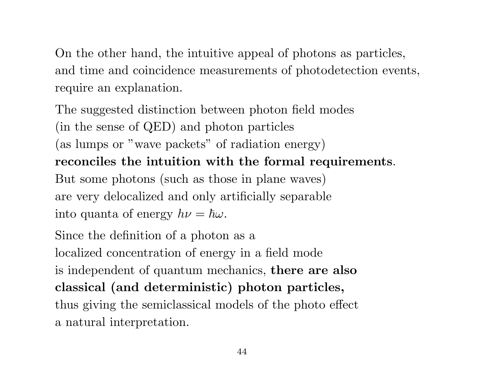On the other hand, the intuitive appeal of photons as particles, and time and coincidence measurements of photodetection events, require an explanation.

The suggested distinction between photon field modes (in the sense of QED) and photon particles (as lumps or "wave packets" of radiation energy) reconciles the intuition with the formal requirements. But some photons (such as those in plane waves) are very delocalized and only artificially separable into quanta of energy  $h\nu = \hbar\omega$ .

Since the definition of a photon as a localized concentration of energy in a field mode is independent of quantum mechanics, there are also classical (and deterministic) photon particles, thus giving the semiclassical models of the photo effect a natural interpretation.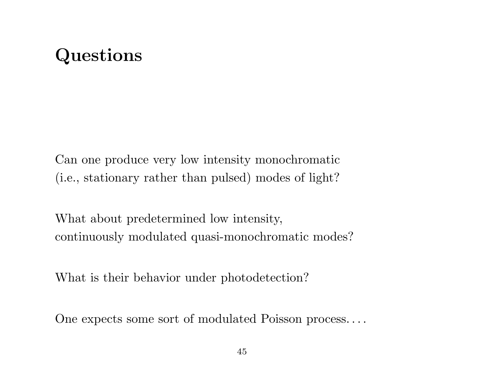### Questions

Can one produce very low intensity monochromatic (i.e., stationary rather than pulsed) modes of light?

What about predetermined low intensity, continuously modulated quasi-monochromatic modes?

What is their behavior under photodetection?

One expects some sort of modulated Poisson process. . . .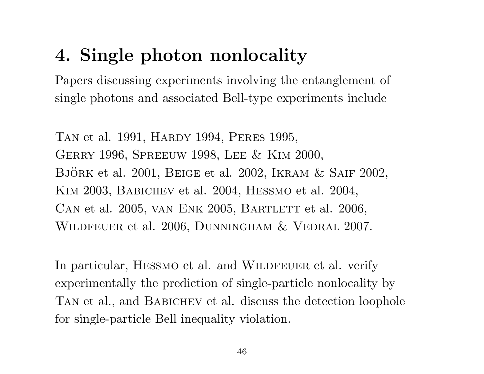## 4. Single photon nonlocality

Papers discussing experiments involving the entanglement of single photons and associated Bell-type experiments include

Tan et al. 1991, Hardy 1994, Peres 1995, Gerry 1996, Spreeuw 1998, Lee & Kim 2000, BJÖRK et al. 2001, BEIGE et al. 2002, IKRAM  $&$  SAIF 2002, Kim 2003, Babichev et al. 2004, Hessmo et al. 2004, CAN et al. 2005, VAN ENK 2005, BARTLETT et al. 2006, WILDFEUER et al. 2006, DUNNINGHAM & VEDRAL 2007.

In particular, HESSMO et al. and WILDFEUER et al. verify experimentally the prediction of single-particle nonlocality by TAN et al., and BABICHEV et al. discuss the detection loophole for single-particle Bell inequality violation.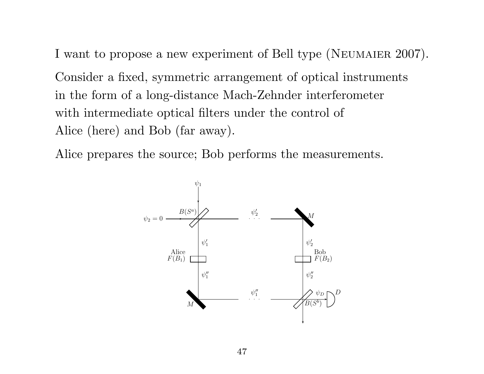I want to propose a new experiment of Bell type (NEUMAIER 2007).

Consider a fixed, symmetric arrangement of optical instruments in the form of a long-distance Mach-Zehnder interferometer with intermediate optical filters under the control of Alice (here) and Bob (far away).

Alice prepares the source; Bob performs the measurements.

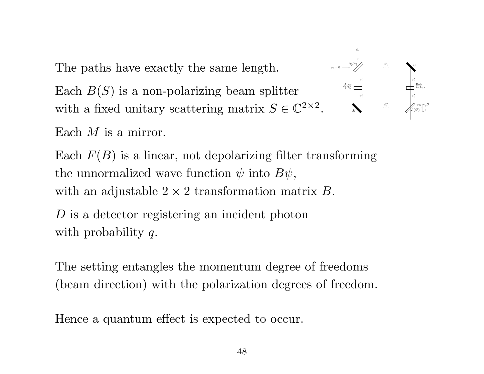The paths have exactly the same length.

Each  $B(S)$  is a non-polarizing beam splitter with a fixed unitary scattering matrix  $S \in \mathbb{C}^{2 \times 2}$ .

. . .  $_M$ M  $B(S^b)$  $^{b)}$  $D$  $\psi''_1$   $\psi''_2$ ′′ 2  $\psi_1'$   $\psi_2'$ 2  $\psi'_2$ 2  $\psi_1''$ ′′  $\sqrt{2}$   $\psi_D$ Alice<br> $F(B_1)$  $F(B_2)$ Bob  $\psi_2 = 0 \longrightarrow B(S^a)$  $\psi_1$ 

Each M is a mirror.

Each  $F(B)$  is a linear, not depolarizing filter transforming the unnormalized wave function  $\psi$  into  $B\psi$ , with an adjustable  $2 \times 2$  transformation matrix B.

D is a detector registering an incident photon with probability q.

The setting entangles the momentum degree of freedoms (beam direction) with the polarization degrees of freedom.

Hence a quantum effect is expected to occur.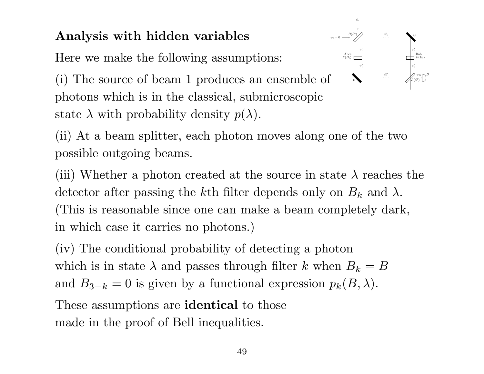### Analysis with hidden variables

Here we make the following assumptions:



(i) The source of beam 1 produces an ensemble of photons which is in the classical, submicroscopic state  $\lambda$  with probability density  $p(\lambda)$ .

(ii) At a beam splitter, each photon moves along one of the two possible outgoing beams.

(iii) Whether a photon created at the source in state  $\lambda$  reaches the detector after passing the k<sup>th</sup> filter depends only on  $B_k$  and  $\lambda$ . (This is reasonable since one can make a beam completely dark, in which case it carries no photons.)

(iv) The conditional probability of detecting a photon which is in state  $\lambda$  and passes through filter k when  $B_k = B$ and  $B_{3-k} = 0$  is given by a functional expression  $p_k(B, \lambda)$ .

These assumptions are **identical** to those made in the proof of Bell inequalities.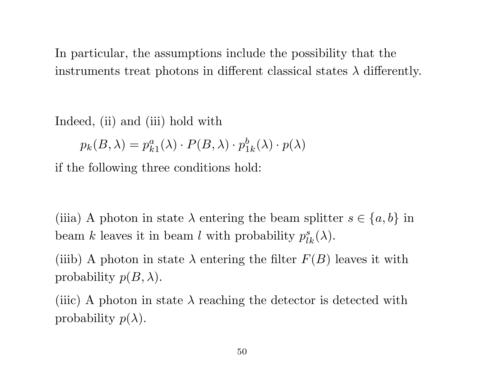In particular, the assumptions include the possibility that the instruments treat photons in different classical states  $\lambda$  differently.

Indeed, (ii) and (iii) hold with

 $p_k(B,\lambda)=p_k^a$  $_{k1}^a (\lambda) \cdot P(B, \lambda) \cdot p_1^b$  $\frac{b}{1k}(\lambda) \cdot p(\lambda)$ 

if the following three conditions hold:

(iiia) A photon in state  $\lambda$  entering the beam splitter  $s \in \{a, b\}$  in beam k leaves it in beam l with probability  $p_{lk}^s(\lambda)$ .

(iiib) A photon in state  $\lambda$  entering the filter  $F(B)$  leaves it with probability  $p(B, \lambda)$ .

(iiic) A photon in state  $\lambda$  reaching the detector is detected with probability  $p(\lambda)$ .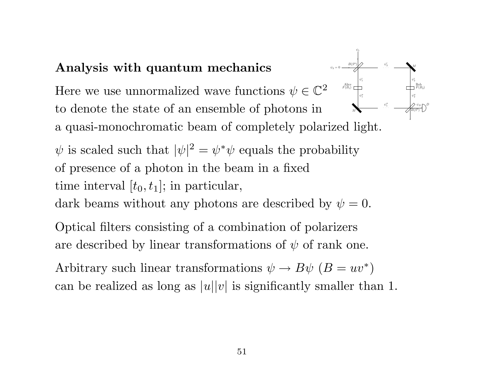#### Analysis with quantum mechanics

. . .  $_M$  $\psi''_1$  $\psi_1''$ ′′ Here we use unnormalized wave functions  $\psi \in \mathbb{C}^2$ to denote the state of an ensemble of photons in a quasi-monochromatic beam of completely polarized light.

M  $B(S^b)$  $^{b)}$  $D$  $\psi''_2$  $\psi_1'$  $\psi_2'$  $\psi'_2$ 2  $\sqrt{2}$   $\psi_D$ Alice<br> $F(B_1)$  $Bob \ F(B_2)$  $\psi_2 = 0 \longrightarrow B(S^a)$  $\psi_1$ 

 $\psi$  is scaled such that  $|\psi|^2 = \psi^* \psi$  equals the probability of presence of a photon in the beam in a fixed time interval  $[t_0, t_1]$ ; in particular,

dark beams without any photons are described by  $\psi = 0$ .

Optical filters consisting of a combination of polarizers are described by linear transformations of  $\psi$  of rank one.

Arbitrary such linear transformations  $\psi \to B\psi$   $(B = uv^*)$ can be realized as long as  $|u||v|$  is significantly smaller than 1.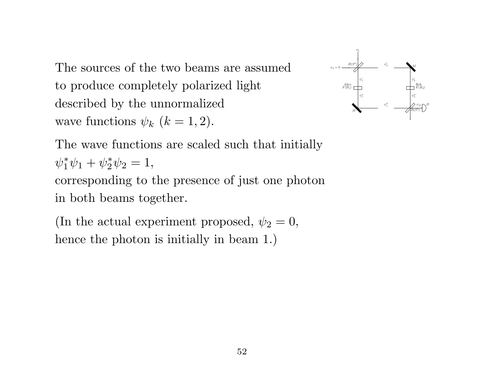The sources of the two beams are assumed to produce completely polarized light described by the unnormalized wave functions  $\psi_k$   $(k = 1, 2)$ .



The wave functions are scaled such that initially  $\psi_1^*$  $_{1}^{*}\psi_{1} + \psi_{2}^{*}$  $_{2}^{*}\psi_{2}=1,$ corresponding to the presence of just one photon

in both beams together.

(In the actual experiment proposed,  $\psi_2 = 0$ , hence the photon is initially in beam 1.)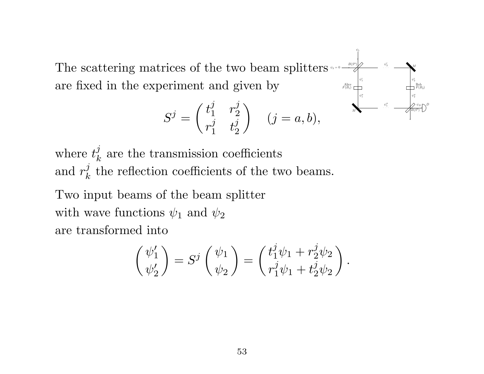. . .  $_M$ M  $B(S^b)$  $^{b)}$  $D$  $\psi''_1$  $\psi''_2$  $\psi_1'$   $\psi_2'$  $\frac{7}{2}$  $\psi'_2$ 2  $\psi_1''$ ′′  $\sqrt{2}$   $\sqrt{2}$   $\sqrt{D}$ Alice<br> $F(B_1)$  $Bob \ F(B_2)$  $\psi_2 = 0 \longrightarrow B(S^a)$ The scattering matrices of the two beam splitters are fixed in the experiment and given by  $t_1^j$   $r_2^j$ 

 $\psi_1$ 

$$
S^j = \begin{pmatrix} t_1^j & r_2^j \\ r_1^j & t_2^j \end{pmatrix} \quad (j = a, b),
$$

where  $t_k^j$  $\frac{d}{dx}$  are the transmission coefficients and  $r_k^j$  $\lambda_k^j$  the reflection coefficients of the two beams. Two input beams of the beam splitter with wave functions  $\psi_1$  and  $\psi_2$ 

are transformed into

$$
\begin{pmatrix} \psi_1' \\ \psi_2' \end{pmatrix} = S^j \begin{pmatrix} \psi_1 \\ \psi_2 \end{pmatrix} = \begin{pmatrix} t_1^j \psi_1 + r_2^j \psi_2 \\ r_1^j \psi_1 + t_2^j \psi_2 \end{pmatrix}.
$$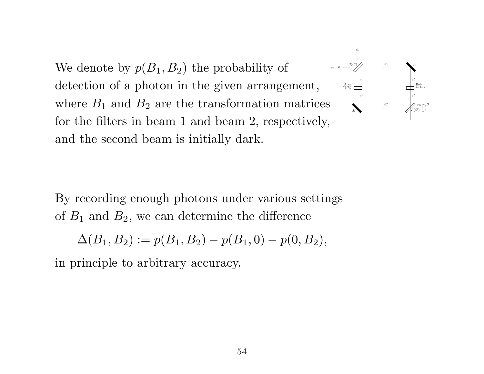We denote by  $p(B_1, B_2)$  the probability of detection of a photon in the given arrangement, where  $B_1$  and  $B_2$  are the transformation matrices for the filters in beam 1 and beam 2, respectively, and the second beam is initially dark.



By recording enough photons under various settings of  $B_1$  and  $B_2$ , we can determine the difference

$$
\Delta(B_1, B_2) := p(B_1, B_2) - p(B_1, 0) - p(0, B_2),
$$

in principle to arbitrary accuracy.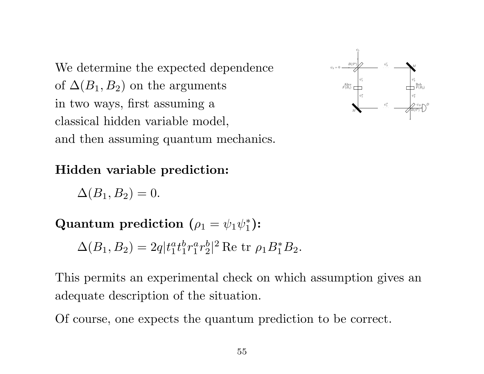We determine the expected dependence of  $\Delta(B_1, B_2)$  on the arguments in two ways, first assuming a classical hidden variable model, and then assuming quantum mechanics.



Hidden variable prediction:

 $\Delta(B_1, B_2) = 0.$ 

Quantum prediction ( $\rho_1 = \psi_1 \psi_1^*$  $_1^*$ ):

 $\Delta(B_1, B_2) = 2q|t_1^a$  $_{1}^{a}t_{1}^{b}$  $\frac{b}{1}r_1^a$  $\frac{a}{1}r_2^b$  $_{2}^{b}|^{2}$  Re tr  $\rho_{1}B_{1}^{\ast}B_{2}$ .

This permits an experimental check on which assumption gives an adequate description of the situation.

Of course, one expects the quantum prediction to be correct.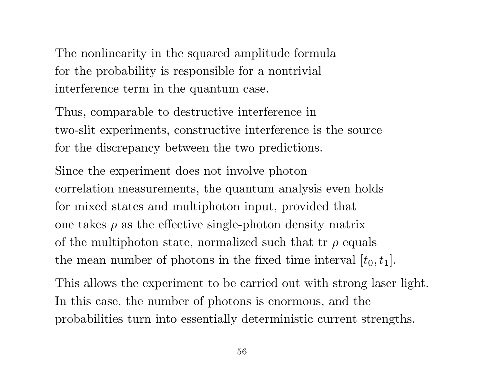The nonlinearity in the squared amplitude formula for the probability is responsible for a nontrivial interference term in the quantum case.

Thus, comparable to destructive interference in two-slit experiments, constructive interference is the source for the discrepancy between the two predictions.

Since the experiment does not involve photon correlation measurements, the quantum analysis even holds for mixed states and multiphoton input, provided that one takes  $\rho$  as the effective single-photon density matrix of the multiphoton state, normalized such that tr  $\rho$  equals the mean number of photons in the fixed time interval  $[t_0, t_1]$ .

This allows the experiment to be carried out with strong laser light. In this case, the number of photons is enormous, and the probabilities turn into essentially deterministic current strengths.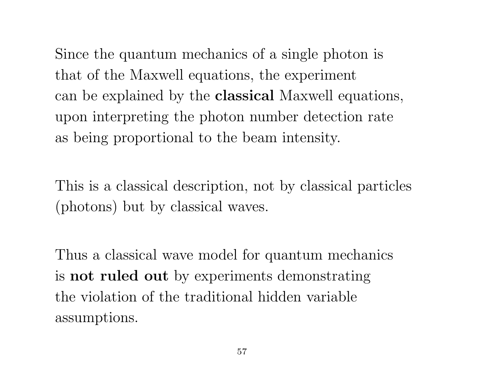Since the quantum mechanics of a single photon is that of the Maxwell equations, the experiment can be explained by the classical Maxwell equations, upon interpreting the photon number detection rate as being proportional to the beam intensity.

This is a classical description, not by classical particles (photons) but by classical waves.

Thus a classical wave model for quantum mechanics is not ruled out by experiments demonstrating the violation of the traditional hidden variable assumptions.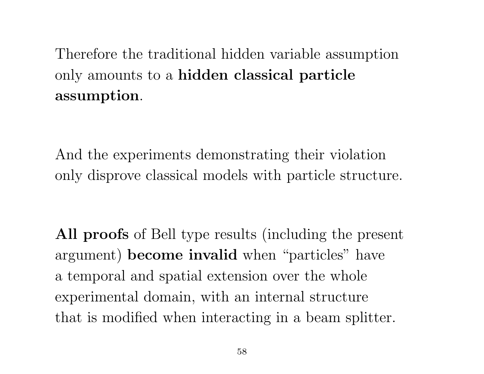Therefore the traditional hidden variable assumption only amounts to a hidden classical particle assumption.

And the experiments demonstrating their violation only disprove classical models with particle structure.

All proofs of Bell type results (including the present argument) become invalid when "particles" have a temporal and spatial extension over the whole experimental domain, with an internal structure that is modified when interacting in a beam splitter.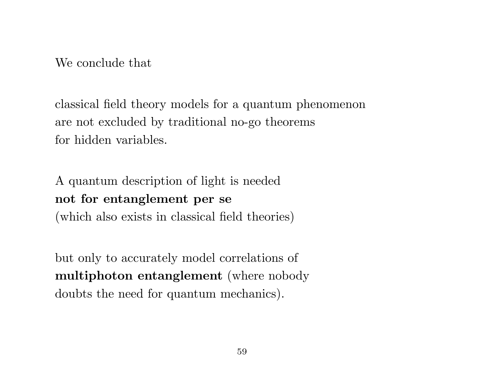We conclude that

classical field theory models for a quantum phenomenon are not excluded by traditional no-go theorems for hidden variables.

A quantum description of light is needed not for entanglement per se (which also exists in classical field theories)

but only to accurately model correlations of multiphoton entanglement (where nobody doubts the need for quantum mechanics).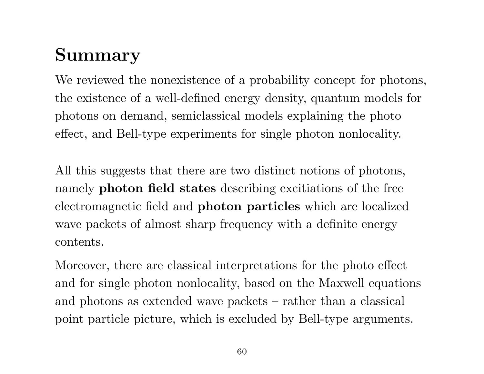# Summary

We reviewed the nonexistence of a probability concept for photons, the existence of a well-defined energy density, quantum models for photons on demand, semiclassical models explaining the photo effect, and Bell-type experiments for single photon nonlocality.

All this suggests that there are two distinct notions of photons, namely photon field states describing excitiations of the free electromagnetic field and photon particles which are localized wave packets of almost sharp frequency with a definite energy contents.

Moreover, there are classical interpretations for the photo effect and for single photon nonlocality, based on the Maxwell equations and photons as extended wave packets – rather than a classical point particle picture, which is excluded by Bell-type arguments.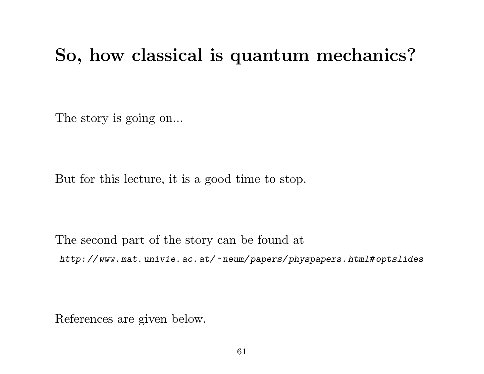### So, how classical is quantum mechanics?

The story is going on...

But for this lecture, it is a good time to stop.

The second part of the story can be found at http: // www. mat. univie. ac. at/~neum/ papers/ physpapers. html# optslides

References are given below.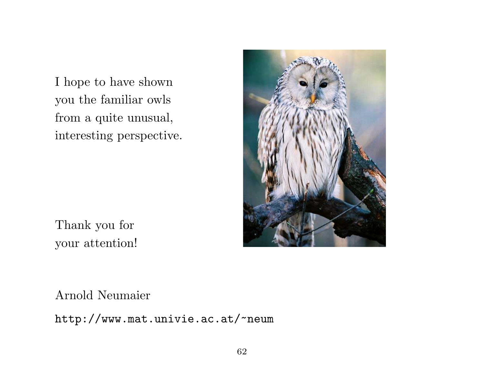I hope to have shown you the familiar owls from a quite unusual, interesting perspective.



Thank you for your attention!

Arnold Neumaier

http://www.mat.univie.ac.at/~neum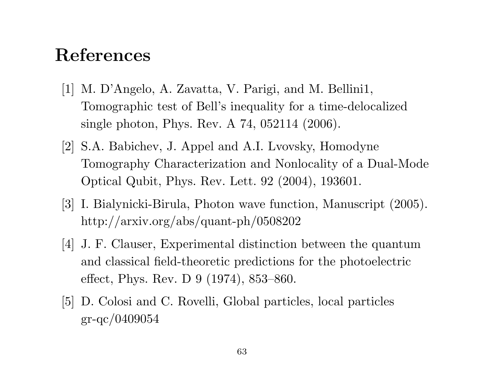### References

- [1] M. D'Angelo, A. Zavatta, V. Parigi, and M. Bellini1, Tomographic test of Bell's inequality for a time-delocalized single photon, Phys. Rev. A 74, 052114 (2006).
- [2] S.A. Babichev, J. Appel and A.I. Lvovsky, Homodyne Tomography Characterization and Nonlocality of a Dual-Mode Optical Qubit, Phys. Rev. Lett. 92 (2004), 193601.
- [3] I. Bialynicki-Birula, Photon wave function, Manuscript (2005). http://arxiv.org/abs/quant-ph/0508202
- [4] J. F. Clauser, Experimental distinction between the quantum and classical field-theoretic predictions for the photoelectric effect, Phys. Rev. D 9 (1974), 853–860.
- [5] D. Colosi and C. Rovelli, Global particles, local particles gr-qc/0409054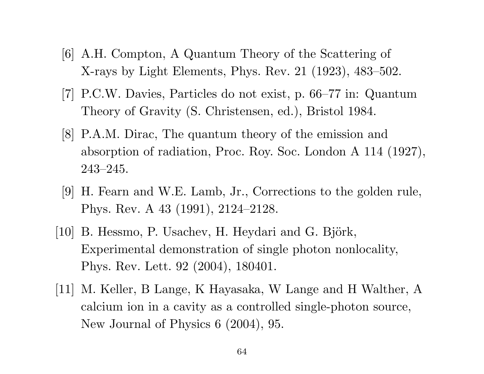- [6] A.H. Compton, A Quantum Theory of the Scattering of X-rays by Light Elements, Phys. Rev. 21 (1923), 483–502.
- [7] P.C.W. Davies, Particles do not exist, p. 66–77 in: Quantum Theory of Gravity (S. Christensen, ed.), Bristol 1984.
- [8] P.A.M. Dirac, The quantum theory of the emission and absorption of radiation, Proc. Roy. Soc. London A 114 (1927), 243–245.
- [9] H. Fearn and W.E. Lamb, Jr., Corrections to the golden rule, Phys. Rev. A 43 (1991), 2124–2128.
- [10] B. Hessmo, P. Usachev, H. Heydari and G. Björk, Experimental demonstration of single photon nonlocality, Phys. Rev. Lett. 92 (2004), 180401.
- [11] M. Keller, B Lange, K Hayasaka, W Lange and H Walther, A calcium ion in a cavity as a controlled single-photon source, New Journal of Physics 6 (2004), 95.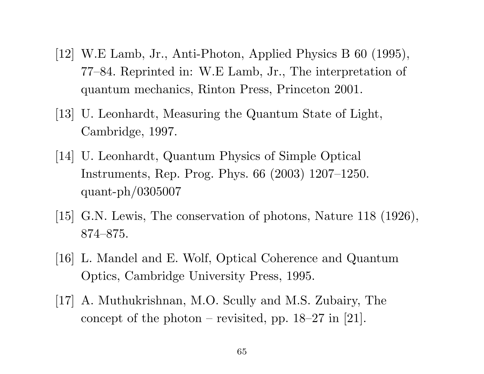- [12] W.E Lamb, Jr., Anti-Photon, Applied Physics B 60 (1995), 77–84. Reprinted in: W.E Lamb, Jr., The interpretation of quantum mechanics, Rinton Press, Princeton 2001.
- [13] U. Leonhardt, Measuring the Quantum State of Light, Cambridge, 1997.
- [14] U. Leonhardt, Quantum Physics of Simple Optical Instruments, Rep. Prog. Phys. 66 (2003) 1207–1250. quant-ph/0305007
- [15] G.N. Lewis, The conservation of photons, Nature 118 (1926), 874–875.
- [16] L. Mandel and E. Wolf, Optical Coherence and Quantum Optics, Cambridge University Press, 1995.
- [17] A. Muthukrishnan, M.O. Scully and M.S. Zubairy, The concept of the photon – revisited, pp.  $18-27$  in [21].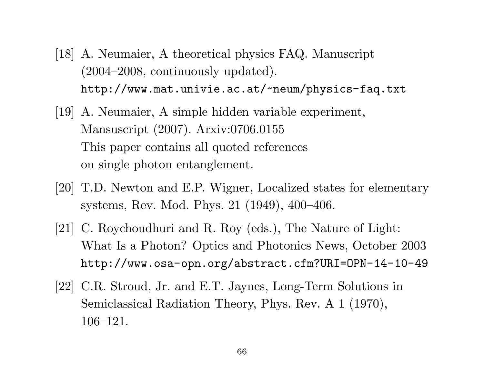- [18] A. Neumaier, A theoretical physics FAQ. Manuscript (2004–2008, continuously updated). http://www.mat.univie.ac.at/~neum/physics-faq.txt
- [19] A. Neumaier, A simple hidden variable experiment, Mansuscript (2007). Arxiv:0706.0155 This paper contains all quoted references on single photon entanglement.
- [20] T.D. Newton and E.P. Wigner, Localized states for elementary systems, Rev. Mod. Phys. 21 (1949), 400–406.
- [21] C. Roychoudhuri and R. Roy (eds.), The Nature of Light: What Is a Photon? Optics and Photonics News, October 2003 http://www.osa-opn.org/abstract.cfm?URI=OPN-14-10-49
- [22] C.R. Stroud, Jr. and E.T. Jaynes, Long-Term Solutions in Semiclassical Radiation Theory, Phys. Rev. A 1 (1970), 106–121.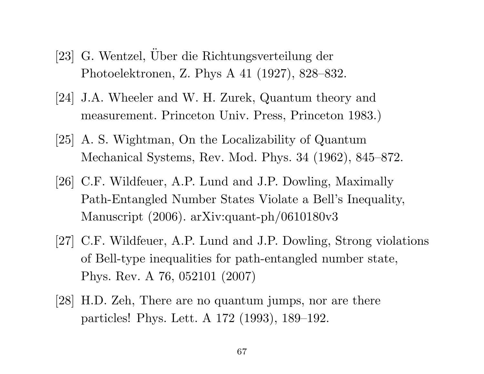- [23] G. Wentzel, Über die Richtungsverteilung der Photoelektronen, Z. Phys A 41 (1927), 828–832.
- [24] J.A. Wheeler and W. H. Zurek, Quantum theory and measurement. Princeton Univ. Press, Princeton 1983.)
- [25] A. S. Wightman, On the Localizability of Quantum Mechanical Systems, Rev. Mod. Phys. 34 (1962), 845–872.
- [26] C.F. Wildfeuer, A.P. Lund and J.P. Dowling, Maximally Path-Entangled Number States Violate a Bell's Inequality, Manuscript (2006). arXiv:quant-ph/0610180v3
- [27] C.F. Wildfeuer, A.P. Lund and J.P. Dowling, Strong violations of Bell-type inequalities for path-entangled number state, Phys. Rev. A 76, 052101 (2007)
- [28] H.D. Zeh, There are no quantum jumps, nor are there particles! Phys. Lett. A 172 (1993), 189–192.